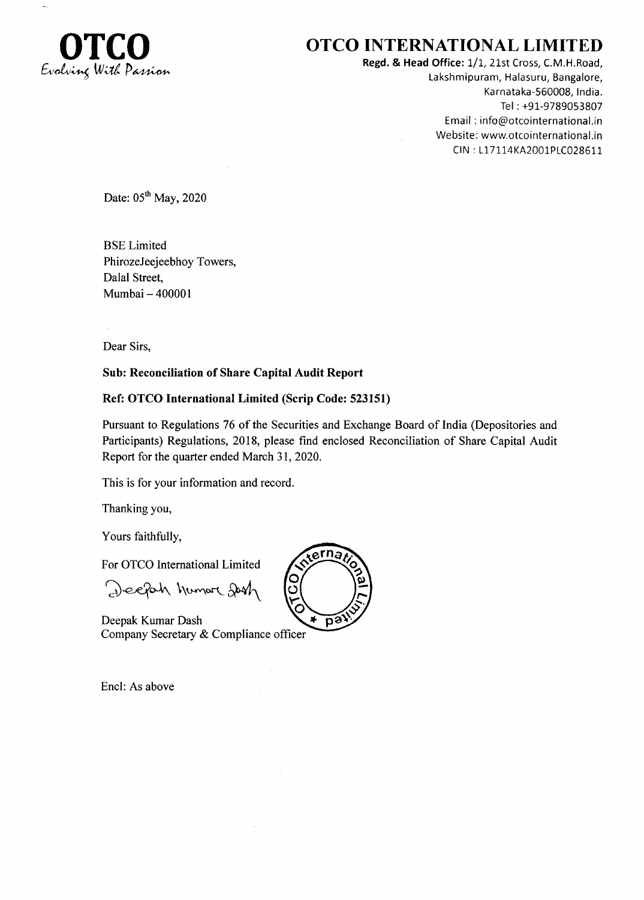

## **CONTERNATIONAL LIMITED**

Regd. & Head Office: 1/1, 21st Cross, C.M.H.Road, Lakshmipuram, Halasuru, Bangalore, Karnataka-560008, lndia. Tel : +91-9789053807 Email : info@otcointernational.in Website: www.otcointernational.in CIN: L17114KA2001PLC028611

Date:  $05<sup>th</sup>$  May, 2020

BSE Limited PhirozeJeejeebhoy Towers, Dalal Street, Mumbai - 400001

Dear Sirs,

#### Sub: Reconciliation of Share Capital Audit Report

#### Ref: OTCO International Limited (Scrip Code: 523151)

Pursuant to Regulations 76 of the Securities and Exchange Board of India (Depositories and Participants) Regulations, 2018, please find enclosed Reconciliation of Share Capital Audit Report for the quarter ended March 31,2020.

This is for your information and record.

Thanking you,

Yours faithfully,

For OTCO International Limited

Deepah humore Jash

Deepak Kumar Dash Company Secretary & Compliance officer

Encl: As above

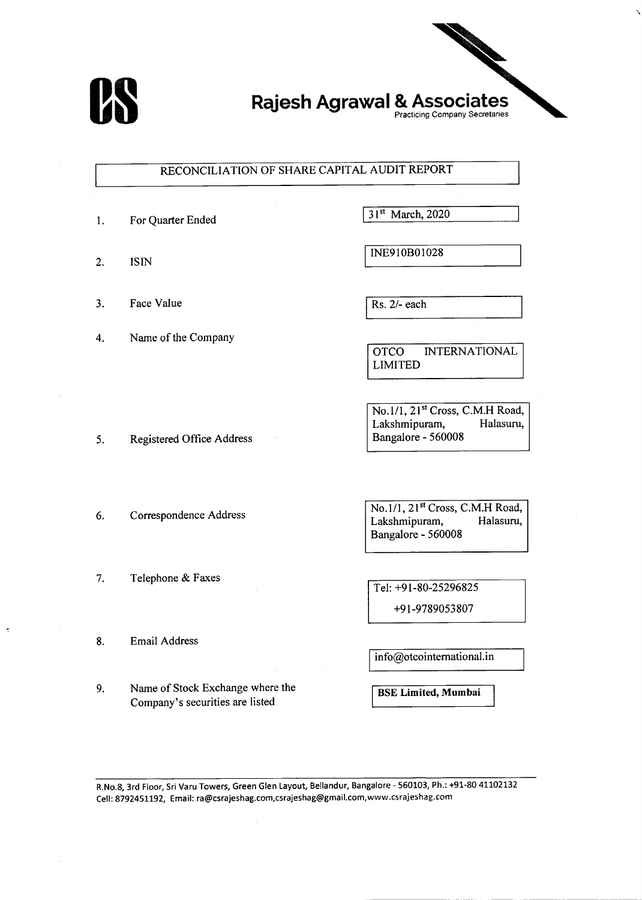

# Rajesh Agrawal & Associates

### RECONCILIATION OF SHARE CAPITAL AUDIT REPORT

- 1. For Quarter Ended 31<sup>st</sup> March, 2020
- 
- 3. Face Value  $\sqrt{Rs. 2/- each}$
- 4. Name of the Company

2. ISIN  $\begin{array}{ccc} & & \text{INE910B01028} \end{array}$ 

OTCO INTERNATIONAL LIMITED

No.1/1, 21<sup>st</sup> Cross, C.M.H Road, Lakshmipuram, Halasuru, Bangalore - 560008

5. Registered Office Address

6. Correspondence Address  $\begin{array}{c} \hline \text{No.1/1, 21st Cross, C.M.H Road, } \\ \text{Lakshmipuram, } \end{array}$  Halasuru, Lakshmipuram, Bangalore - 560008

Tel: +91-80-25296825

+9 I -9789053807

8. Email Address

7. Telephone & Faxes

9. Name of Stock Exchange where the Company's securities are listed

 $info@otcointematical.in$ 

BSE Limited, Mumbai

R.No.S, 3rd Floor, Sri Varu Towers, Green Glen Layout, Bellandur, Bangalore - 550103, Ph.: +91-80 41L02L32 cell: 8792451192, Email: ra@csrajeshag.com,csrajeshag@gmail.com,www.csraieshag.com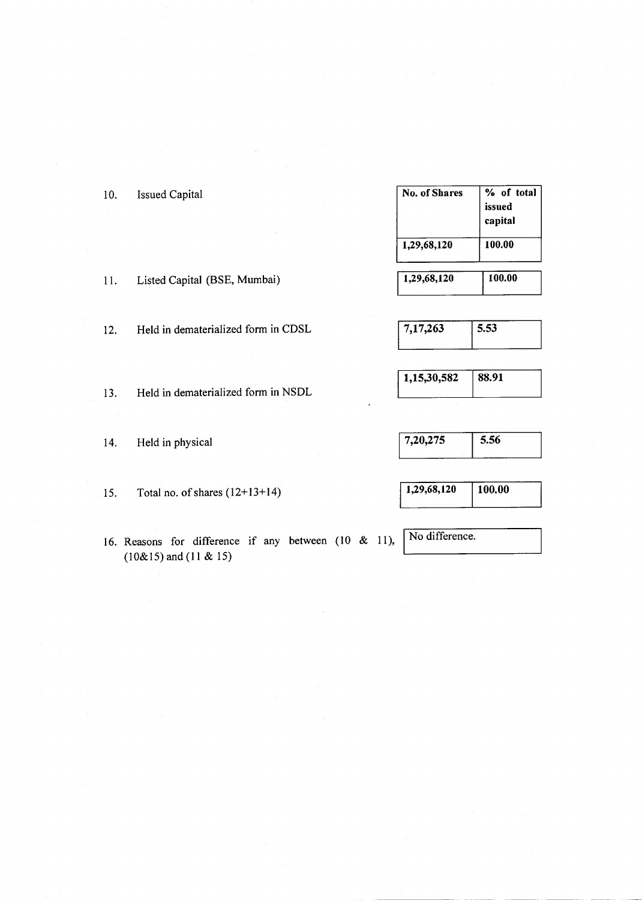| 10. | <b>Issued Capital</b>               | <b>No. of Shares</b> | % of total<br>issued<br>capital |
|-----|-------------------------------------|----------------------|---------------------------------|
|     |                                     | 1,29,68,120          | 100.00                          |
| 11. | Listed Capital (BSE, Mumbai)        | 1,29,68,120          | 100.00                          |
| 12. | Held in dematerialized form in CDSL | 7,17,263             | 5.53                            |

13. Held in dematerialized form in NSDL

14. Held in physical

15. Total no. of shares  $(12+13+14)$ 

16. Reasons for difference if any between (10 & l1),  $(10\&15)$  and  $(11 \& 15)$ 

| 7,20,275 | 556 |
|----------|-----|
|          |     |

1,15,30,582 88.91

 $\overline{1,29,68,120}$  100.00

No difference.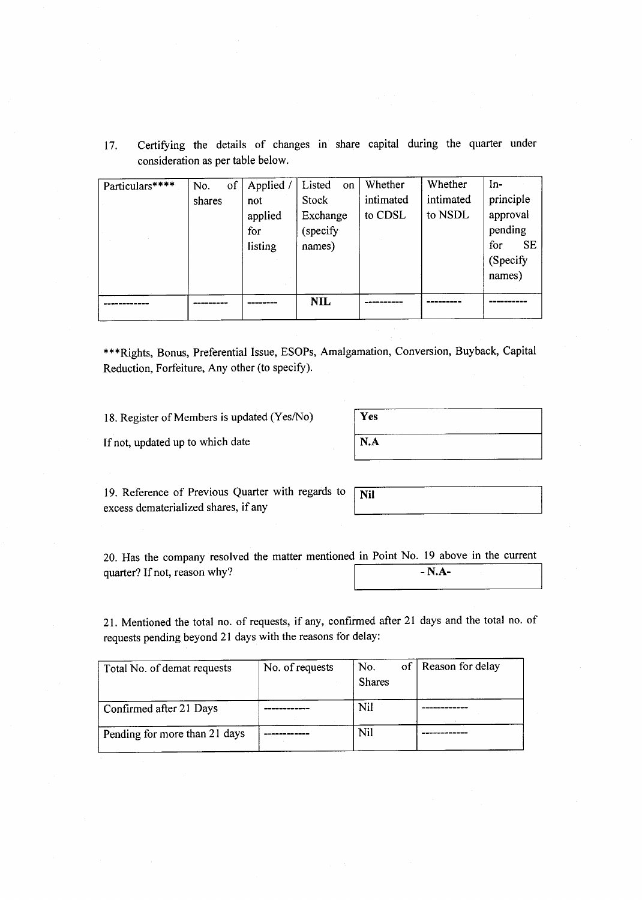17. Certifying the details of changes in share capital during the quarter under consideration as per table below.

| Particulars**** | No.    | of | Applied. | Listed<br><sub>on</sub> | Whether   | Whether   | $In-$            |
|-----------------|--------|----|----------|-------------------------|-----------|-----------|------------------|
|                 | shares |    | not      | Stock                   | intimated | intimated | principle        |
|                 |        |    | applied  | Exchange                | to CDSL   | to NSDL   | approval         |
|                 |        |    | for      | (specify                |           |           | pending          |
|                 |        |    | listing  | names)                  |           |           | <b>SE</b><br>for |
|                 |        |    |          |                         |           |           | (Specify         |
|                 |        |    |          |                         |           |           | names)           |
|                 |        |    |          |                         |           |           |                  |
|                 |        |    |          | <b>NIL</b>              |           |           |                  |
|                 |        |    |          |                         |           |           |                  |

\*\*\*Rights, Bonus, Preferential Issue, ESOPs, Amalgamation, Conversion, Buyback, Capital Reduction, Forfeiture, Any other (to specify).

18. Register of Members is updated (Yes/No)

| Yes         |  |
|-------------|--|
| $\vert$ N.A |  |

If not, updated up to which date

19. Reference of Previous Quarter with regards to excess dematerialized shares, if any

| Vil |  |  |
|-----|--|--|
|     |  |  |

20. Has the company resol ved the matter mentioned in Point No. 19 above in the current quarter? If not, reason why?  $- N.A-$ 

21. Mentioned the total no. of requests, if any, confirmed after 2l days and the total no. of requests pending beyond 21 days with the reasons for delay:

| Total No. of demat requests   | No. of requests | of<br>No.<br><b>Shares</b> | Reason for delay |
|-------------------------------|-----------------|----------------------------|------------------|
| Confirmed after 21 Days       |                 | Nil                        |                  |
| Pending for more than 21 days |                 | Nil                        |                  |